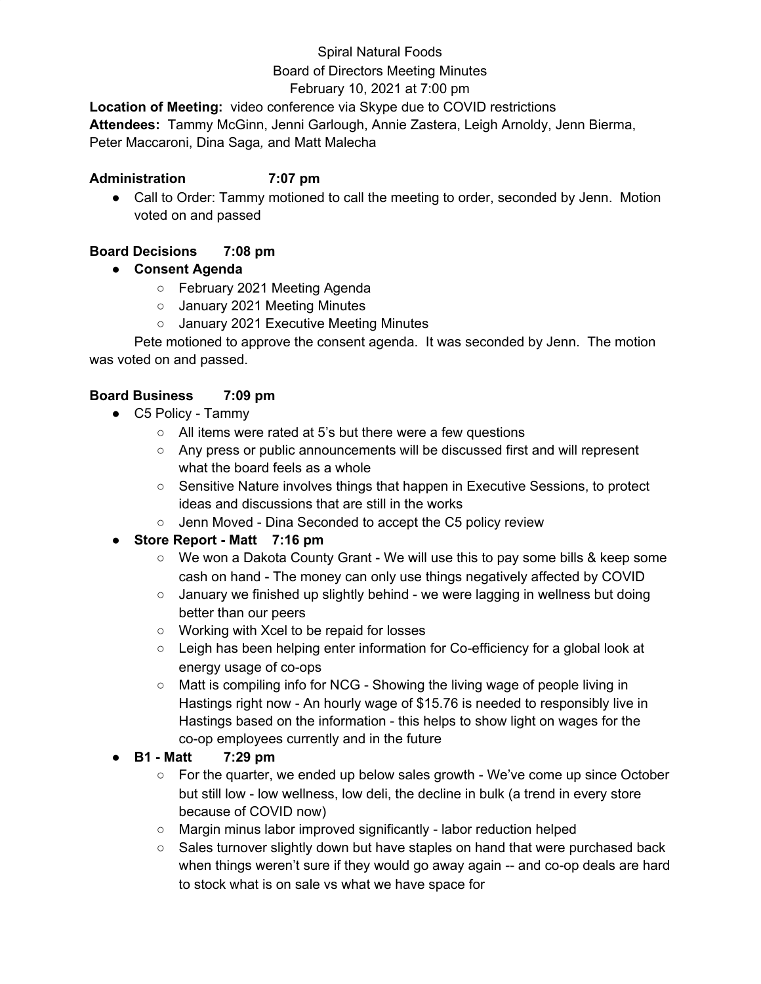# Spiral Natural Foods Board of Directors Meeting Minutes February 10, 2021 at 7:00 pm

**Location of Meeting:** video conference via Skype due to COVID restrictions **Attendees:** Tammy McGinn, Jenni Garlough, Annie Zastera, Leigh Arnoldy, Jenn Bierma, Peter Maccaroni, Dina Saga*,* and Matt Malecha

#### **Administration 7:07 pm**

• Call to Order: Tammy motioned to call the meeting to order, seconded by Jenn. Motion voted on and passed

## **Board Decisions 7:08 pm**

- **● Consent Agenda**
	- February 2021 Meeting Agenda
	- January 2021 Meeting Minutes
	- January 2021 Executive Meeting Minutes

Pete motioned to approve the consent agenda. It was seconded by Jenn. The motion was voted on and passed.

### **Board Business 7:09 pm**

- C5 Policy Tammy
	- All items were rated at 5's but there were a few questions
	- Any press or public announcements will be discussed first and will represent what the board feels as a whole
	- Sensitive Nature involves things that happen in Executive Sessions, to protect ideas and discussions that are still in the works
	- Jenn Moved Dina Seconded to accept the C5 policy review

# **● Store Report - Matt 7:16 pm**

- We won a Dakota County Grant We will use this to pay some bills & keep some cash on hand - The money can only use things negatively affected by COVID
- January we finished up slightly behind we were lagging in wellness but doing better than our peers
- Working with Xcel to be repaid for losses
- Leigh has been helping enter information for Co-efficiency for a global look at energy usage of co-ops
- Matt is compiling info for NCG Showing the living wage of people living in Hastings right now - An hourly wage of \$15.76 is needed to responsibly live in Hastings based on the information - this helps to show light on wages for the co-op employees currently and in the future

# **● B1 - Matt 7:29 pm**

- $\circ$  For the quarter, we ended up below sales growth We've come up since October but still low - low wellness, low deli, the decline in bulk (a trend in every store because of COVID now)
- Margin minus labor improved significantly labor reduction helped
- Sales turnover slightly down but have staples on hand that were purchased back when things weren't sure if they would go away again -- and co-op deals are hard to stock what is on sale vs what we have space for